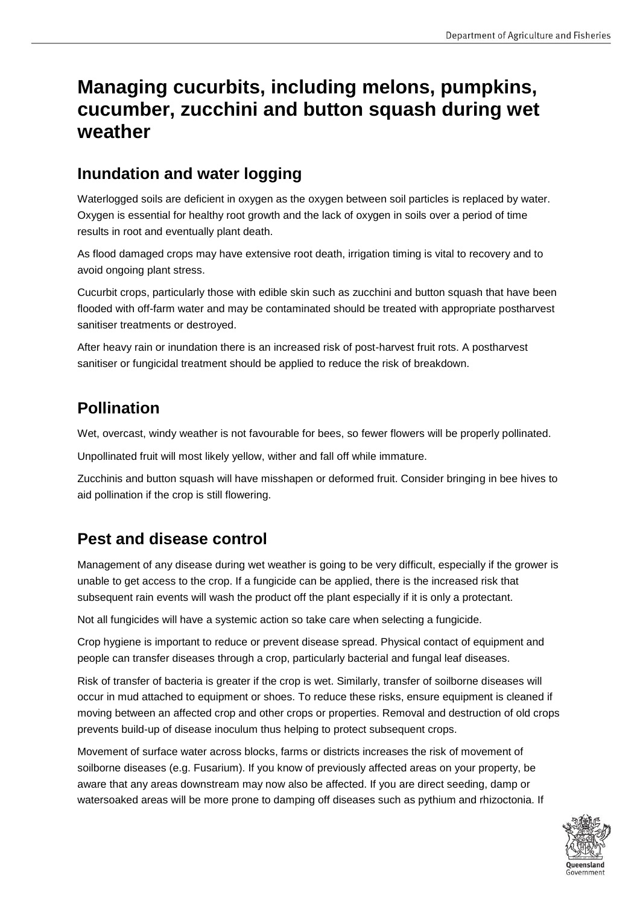# **Managing cucurbits, including melons, pumpkins, cucumber, zucchini and button squash during wet weather**

### **Inundation and water logging**

Waterlogged soils are deficient in oxygen as the oxygen between soil particles is replaced by water. Oxygen is essential for healthy root growth and the lack of oxygen in soils over a period of time results in root and eventually plant death.

As flood damaged crops may have extensive root death, irrigation timing is vital to recovery and to avoid ongoing plant stress.

Cucurbit crops, particularly those with edible skin such as zucchini and button squash that have been flooded with off-farm water and may be contaminated should be treated with appropriate postharvest sanitiser treatments or destroyed.

After heavy rain or inundation there is an increased risk of post-harvest fruit rots. A postharvest sanitiser or fungicidal treatment should be applied to reduce the risk of breakdown.

## **Pollination**

Wet, overcast, windy weather is not favourable for bees, so fewer flowers will be properly pollinated.

Unpollinated fruit will most likely yellow, wither and fall off while immature.

Zucchinis and button squash will have misshapen or deformed fruit. Consider bringing in bee hives to aid pollination if the crop is still flowering.

## **Pest and disease control**

Management of any disease during wet weather is going to be very difficult, especially if the grower is unable to get access to the crop. If a fungicide can be applied, there is the increased risk that subsequent rain events will wash the product off the plant especially if it is only a protectant.

Not all fungicides will have a systemic action so take care when selecting a fungicide.

Crop hygiene is important to reduce or prevent disease spread. Physical contact of equipment and people can transfer diseases through a crop, particularly bacterial and fungal leaf diseases.

Risk of transfer of bacteria is greater if the crop is wet. Similarly, transfer of soilborne diseases will occur in mud attached to equipment or shoes. To reduce these risks, ensure equipment is cleaned if moving between an affected crop and other crops or properties. Removal and destruction of old crops prevents build-up of disease inoculum thus helping to protect subsequent crops.

Movement of surface water across blocks, farms or districts increases the risk of movement of soilborne diseases (e.g. Fusarium). If you know of previously affected areas on your property, be aware that any areas downstream may now also be affected. If you are direct seeding, damp or watersoaked areas will be more prone to damping off diseases such as pythium and rhizoctonia. If

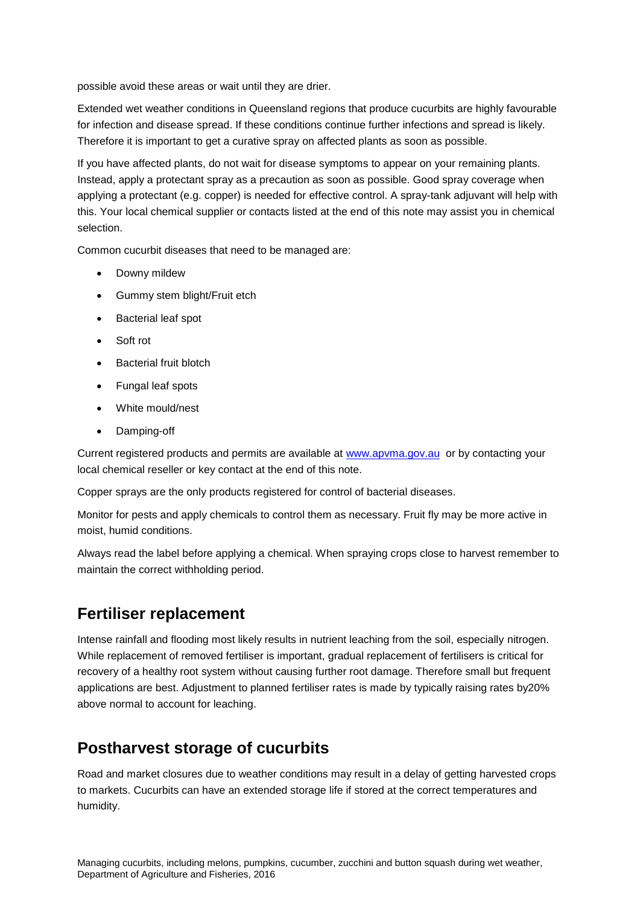possible avoid these areas or wait until they are drier.

Extended wet weather conditions in Queensland regions that produce cucurbits are highly favourable for infection and disease spread. If these conditions continue further infections and spread is likely. Therefore it is important to get a curative spray on affected plants as soon as possible.

If you have affected plants, do not wait for disease symptoms to appear on your remaining plants. Instead, apply a protectant spray as a precaution as soon as possible. Good spray coverage when applying a protectant (e.g. copper) is needed for effective control. A spray-tank adjuvant will help with this. Your local chemical supplier or contacts listed at the end of this note may assist you in chemical selection.

Common cucurbit diseases that need to be managed are:

- Downy mildew
- Gummy stem blight/Fruit etch
- Bacterial leaf spot
- Soft rot
- Bacterial fruit blotch
- Fungal leaf spots
- White mould/nest
- Damping-off

Current registered products and permits are available at [www.apvma.gov.au](http://www.apvma.gov.au/) or by contacting your local chemical reseller or key contact at the end of this note.

Copper sprays are the only products registered for control of bacterial diseases.

Monitor for pests and apply chemicals to control them as necessary. Fruit fly may be more active in moist, humid conditions.

Always read the label before applying a chemical. When spraying crops close to harvest remember to maintain the correct withholding period.

#### **Fertiliser replacement**

Intense rainfall and flooding most likely results in nutrient leaching from the soil, especially nitrogen. While replacement of removed fertiliser is important, gradual replacement of fertilisers is critical for recovery of a healthy root system without causing further root damage. Therefore small but frequent applications are best. Adjustment to planned fertiliser rates is made by typically raising rates by20% above normal to account for leaching.

#### **Postharvest storage of cucurbits**

Road and market closures due to weather conditions may result in a delay of getting harvested crops to markets. Cucurbits can have an extended storage life if stored at the correct temperatures and humidity.